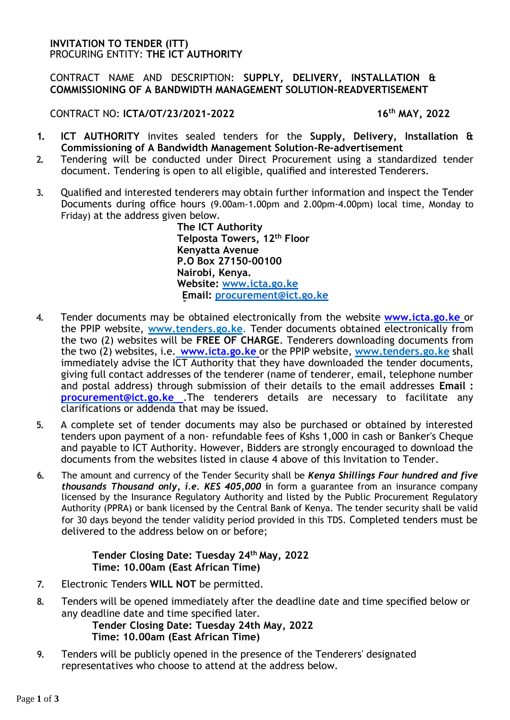## **INVITATION TO TENDER (ITT)** PROCURING ENTITY: **THE ICT AUTHORITY**

## CONTRACT NAME AND DESCRIPTION: **SUPPLY, DELIVERY, INSTALLATION & COMMISSIONING OF A BANDWIDTH MANAGEMENT SOLUTION-READVERTISEMENT**

CONTRACT NO: **ICTA/OT/23/2021-2022 16th MAY, 2022**

- **1. ICT AUTHORITY** invites sealed tenders for the **Supply, Delivery, Installation & Commissioning of A Bandwidth Management Solution-Re-advertisement**
- **2.** Tendering will be conducted under Direct Procurement using a standardized tender document. Tendering is open to all eligible, qualified and interested Tenderers.
- **3.** Qualified and interested tenderers may obtain further information and inspect the Tender Documents during office hours (9.00am-1.00pm and 2.00pm-4.00pm) local time, Monday to Friday) at the address given below.

**The ICT Authority Telposta Towers, 12th Floor Kenyatta Avenue P.O Box 27150-00100 Nairobi, Kenya. Website: www.icta.go.ke Email: procurement@ict.go.ke**

- **4.** Tender documents may be obtained electronically from the website **www.icta.go.ke** or the PPIP website, **[www.tenders.go.ke](http://www.tenders.go.ke/)**. Tender documents obtained electronically from the two (2) websites will be **FREE OF CHARGE**. Tenderers downloading documents from the two (2) websites, i.e. **www.icta.go.ke** or the PPIP website, **[www.tenders.go.ke](http://www.tenders.go.ke/)** shall immediately advise the ICT Authority that they have downloaded the tender documents, giving full contact addresses of the tenderer (name of tenderer, email, telephone number and postal address) through submission of their details to the email addresses **Email [:](mailto:%20procurement@ict.go.ke) [procurement@ict.go.ke](mailto:%20procurement@ict.go.ke)** .The tenderers details are necessary to facilitate any clarifications or addenda that may be issued.
- **5.** A complete set of tender documents may also be purchased or obtained by interested tenders upon payment of a non- refundable fees of Kshs 1,000 in cash or Banker's Cheque and payable to ICT Authority. However, Bidders are strongly encouraged to download the documents from the websites listed in clause 4 above of this Invitation to Tender.
- **6.** The amount and currency of the Tender Security shall be *Kenya Shillings Four hundred and five thousands Thousand only, i.e. KES 405,000* **i**n form a guarantee from an insurance company licensed by the Insurance Regulatory Authority and listed by the Public Procurement Regulatory Authority (PPRA) or bank licensed by the Central Bank of Kenya. The tender security shall be valid for 30 days beyond the tender validity period provided in this TDS. Completed tenders must be delivered to the address below on or before;

## **Tender Closing Date: Tuesday 24th May, 2022 Time: 10.00am (East African Time)**

- **7.** Electronic Tenders **WILL NOT** be permitted.
- **8.** Tenders will be opened immediately after the deadline date and time specified below or any deadline date and time specified later.

**Tender Closing Date: Tuesday 24th May, 2022 Time: 10.00am (East African Time)**

**9.** Tenders will be publicly opened in the presence of the Tenderers' designated representatives who choose to attend at the address below.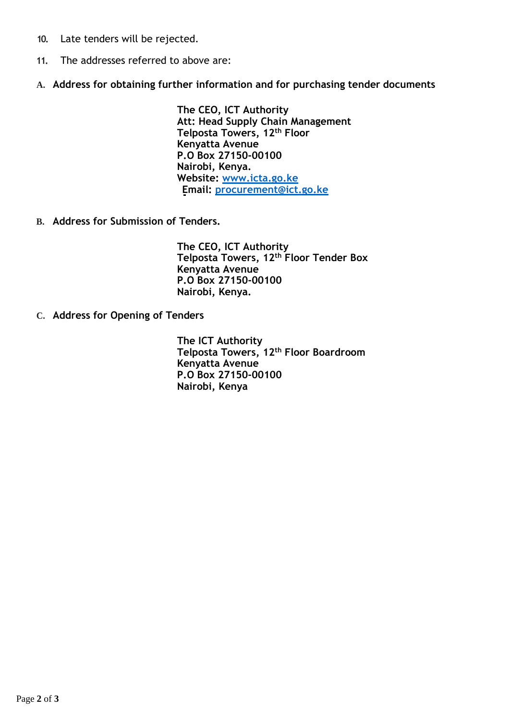- **10.** Late tenders will be rejected.
- **11.** The addresses referred to above are:
- **A. Address for obtaining further information and for purchasing tender documents**

**The CEO, ICT Authority Att: Head Supply Chain Management Telposta Towers, 12th Floor Kenyatta Avenue P.O Box 27150-00100 Nairobi, Kenya. Website: www.icta.go.ke Email: procurement@ict.go.ke**

**B. Address for Submission of Tenders.**

**The CEO, ICT Authority Telposta Towers, 12th Floor Tender Box Kenyatta Avenue P.O Box 27150-00100 Nairobi, Kenya.**

**C. Address for Opening of Tenders**

**The ICT Authority Telposta Towers, 12th Floor Boardroom Kenyatta Avenue P.O Box 27150-00100 Nairobi, Kenya**